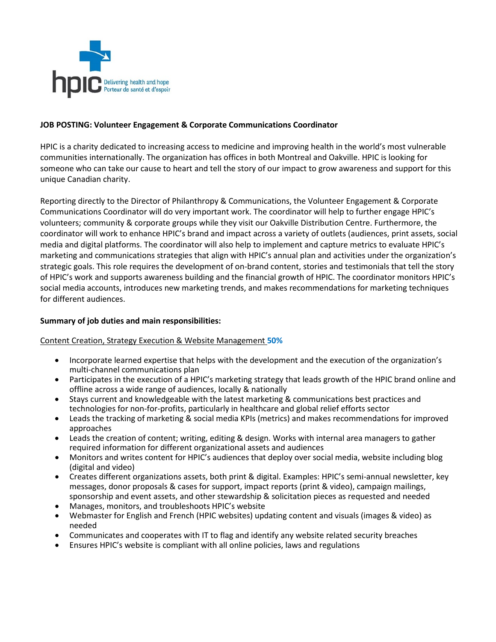

## **JOB POSTING: Volunteer Engagement & Corporate Communications Coordinator**

HPIC is a charity dedicated to increasing access to medicine and improving health in the world's most vulnerable communities internationally. The organization has offices in both Montreal and Oakville. HPIC is looking for someone who can take our cause to heart and tell the story of our impact to grow awareness and support for this unique Canadian charity.

Reporting directly to the Director of Philanthropy & Communications, the Volunteer Engagement & Corporate Communications Coordinator will do very important work. The coordinator will help to further engage HPIC's volunteers; community & corporate groups while they visit our Oakville Distribution Centre. Furthermore, the coordinator will work to enhance HPIC's brand and impact across a variety of outlets (audiences, print assets, social media and digital platforms. The coordinator will also help to implement and capture metrics to evaluate HPIC's marketing and communications strategies that align with HPIC's annual plan and activities under the organization's strategic goals. This role requires the development of on-brand content, stories and testimonials that tell the story of HPIC's work and supports awareness building and the financial growth of HPIC. The coordinator monitors HPIC's social media accounts, introduces new marketing trends, and makes recommendations for marketing techniques for different audiences.

#### **Summary of job duties and main responsibilities:**

#### Content Creation, Strategy Execution & Website Management **50%**

- Incorporate learned expertise that helps with the development and the execution of the organization's multi-channel communications plan
- Participates in the execution of a HPIC's marketing strategy that leads growth of the HPIC brand online and offline across a wide range of audiences, locally & nationally
- Stays current and knowledgeable with the latest marketing & communications best practices and technologies for non-for-profits, particularly in healthcare and global relief efforts sector
- Leads the tracking of marketing & social media KPIs (metrics) and makes recommendations for improved approaches
- Leads the creation of content; writing, editing & design. Works with internal area managers to gather required information for different organizational assets and audiences
- Monitors and writes content for HPIC's audiences that deploy over social media, website including blog (digital and video)
- Creates different organizations assets, both print & digital. Examples: HPIC's semi-annual newsletter, key messages, donor proposals & cases for support, impact reports (print & video), campaign mailings, sponsorship and event assets, and other stewardship & solicitation pieces as requested and needed
- Manages, monitors, and troubleshoots HPIC's website
- Webmaster for English and French (HPIC websites) updating content and visuals (images & video) as needed
- Communicates and cooperates with IT to flag and identify any website related security breaches
- Ensures HPIC's website is compliant with all online policies, laws and regulations